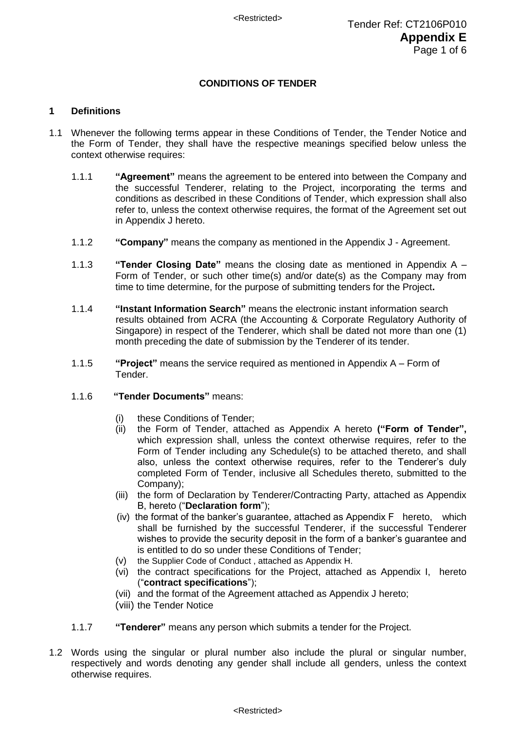# **CONDITIONS OF TENDER**

# **1 Definitions**

- 1.1 Whenever the following terms appear in these Conditions of Tender, the Tender Notice and the Form of Tender, they shall have the respective meanings specified below unless the context otherwise requires:
	- 1.1.1 **"Agreement"** means the agreement to be entered into between the Company and the successful Tenderer, relating to the Project, incorporating the terms and conditions as described in these Conditions of Tender, which expression shall also refer to, unless the context otherwise requires, the format of the Agreement set out in Appendix J hereto.
	- 1.1.2 **"Company"** means the company as mentioned in the Appendix J Agreement.
	- 1.1.3 **"Tender Closing Date"** means the closing date as mentioned in Appendix A Form of Tender, or such other time(s) and/or date(s) as the Company may from time to time determine, for the purpose of submitting tenders for the Project**.**
	- 1.1.4 **"Instant Information Search"** means the electronic instant information search results obtained from ACRA (the Accounting & Corporate Regulatory Authority of Singapore) in respect of the Tenderer, which shall be dated not more than one (1) month preceding the date of submission by the Tenderer of its tender.
	- 1.1.5 **"Project"** means the service required as mentioned in Appendix A Form of Tender.
	- 1.1.6 **"Tender Documents"** means:
		- (i) these Conditions of Tender;
		- (ii) the Form of Tender, attached as Appendix A hereto **("Form of Tender",** which expression shall, unless the context otherwise requires, refer to the Form of Tender including any Schedule(s) to be attached thereto, and shall also, unless the context otherwise requires, refer to the Tenderer's duly completed Form of Tender, inclusive all Schedules thereto, submitted to the Company);
		- (iii) the form of Declaration by Tenderer/Contracting Party, attached as Appendix B, hereto ("**Declaration form**");
		- (iv) the format of the banker's guarantee, attached as Appendix F hereto, which shall be furnished by the successful Tenderer, if the successful Tenderer wishes to provide the security deposit in the form of a banker's guarantee and is entitled to do so under these Conditions of Tender;
		- (v) the Supplier Code of Conduct , attached as Appendix H.
		- (vi) the contract specifications for the Project, attached as Appendix I, hereto ("**contract specifications**");
		- (vii) and the format of the Agreement attached as Appendix J hereto;
		- (viii) the Tender Notice
	- 1.1.7 **"Tenderer"** means any person which submits a tender for the Project.
- 1.2 Words using the singular or plural number also include the plural or singular number, respectively and words denoting any gender shall include all genders, unless the context otherwise requires.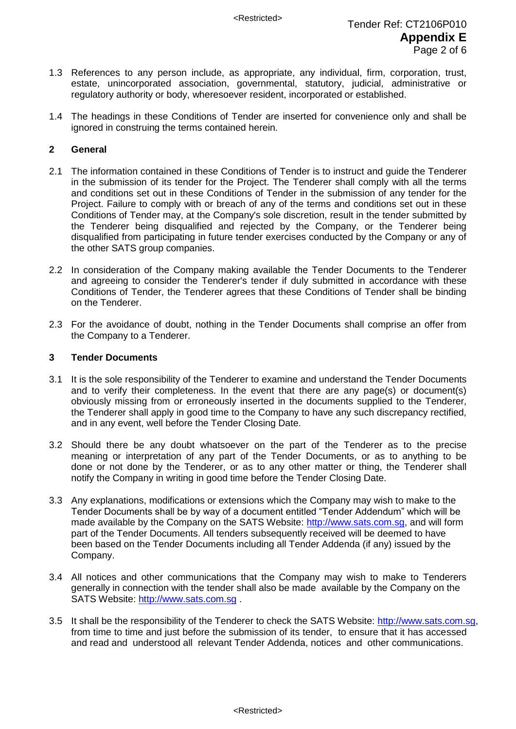- 1.3 References to any person include, as appropriate, any individual, firm, corporation, trust, estate, unincorporated association, governmental, statutory, judicial, administrative or regulatory authority or body, wheresoever resident, incorporated or established.
- 1.4 The headings in these Conditions of Tender are inserted for convenience only and shall be ignored in construing the terms contained herein.

# **2 General**

- 2.1 The information contained in these Conditions of Tender is to instruct and guide the Tenderer in the submission of its tender for the Project. The Tenderer shall comply with all the terms and conditions set out in these Conditions of Tender in the submission of any tender for the Project. Failure to comply with or breach of any of the terms and conditions set out in these Conditions of Tender may, at the Company's sole discretion, result in the tender submitted by the Tenderer being disqualified and rejected by the Company, or the Tenderer being disqualified from participating in future tender exercises conducted by the Company or any of the other SATS group companies.
- 2.2 In consideration of the Company making available the Tender Documents to the Tenderer and agreeing to consider the Tenderer's tender if duly submitted in accordance with these Conditions of Tender, the Tenderer agrees that these Conditions of Tender shall be binding on the Tenderer.
- 2.3 For the avoidance of doubt, nothing in the Tender Documents shall comprise an offer from the Company to a Tenderer.

## **3 Tender Documents**

- 3.1 It is the sole responsibility of the Tenderer to examine and understand the Tender Documents and to verify their completeness. In the event that there are any page(s) or document(s) obviously missing from or erroneously inserted in the documents supplied to the Tenderer, the Tenderer shall apply in good time to the Company to have any such discrepancy rectified, and in any event, well before the Tender Closing Date.
- 3.2 Should there be any doubt whatsoever on the part of the Tenderer as to the precise meaning or interpretation of any part of the Tender Documents, or as to anything to be done or not done by the Tenderer, or as to any other matter or thing, the Tenderer shall notify the Company in writing in good time before the Tender Closing Date.
- 3.3 Any explanations, modifications or extensions which the Company may wish to make to the Tender Documents shall be by way of a document entitled "Tender Addendum" which will be made available by the Company on the SATS Website: [http://www.sats.com.sg,](http://www.sats.com.sg/) and will form part of the Tender Documents. All tenders subsequently received will be deemed to have been based on the Tender Documents including all Tender Addenda (if any) issued by the Company.
- 3.4 All notices and other communications that the Company may wish to make to Tenderers generally in connection with the tender shall also be made available by the Company on the SATS Website: http://www.sats.com.sq.
- 3.5 It shall be the responsibility of the Tenderer to check the SATS Website: http://www.sats.com.sg, from time to time and just before the submission of its tender, to ensure that it has accessed and read and understood all relevant Tender Addenda, notices and other communications.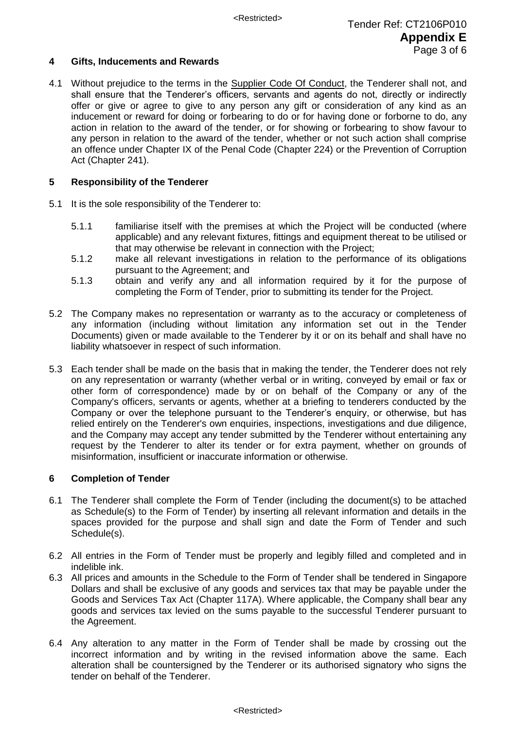# **4 Gifts, Inducements and Rewards**

4.1 Without prejudice to the terms in the Supplier Code Of Conduct, the Tenderer shall not, and shall ensure that the Tenderer's officers, servants and agents do not, directly or indirectly offer or give or agree to give to any person any gift or consideration of any kind as an inducement or reward for doing or forbearing to do or for having done or forborne to do, any action in relation to the award of the tender, or for showing or forbearing to show favour to any person in relation to the award of the tender, whether or not such action shall comprise an offence under Chapter IX of the Penal Code (Chapter 224) or the Prevention of Corruption Act (Chapter 241).

# **5 Responsibility of the Tenderer**

- 5.1 It is the sole responsibility of the Tenderer to:
	- 5.1.1 familiarise itself with the premises at which the Project will be conducted (where applicable) and any relevant fixtures, fittings and equipment thereat to be utilised or that may otherwise be relevant in connection with the Project;
	- 5.1.2 make all relevant investigations in relation to the performance of its obligations pursuant to the Agreement; and
	- 5.1.3 obtain and verify any and all information required by it for the purpose of completing the Form of Tender, prior to submitting its tender for the Project.
- 5.2 The Company makes no representation or warranty as to the accuracy or completeness of any information (including without limitation any information set out in the Tender Documents) given or made available to the Tenderer by it or on its behalf and shall have no liability whatsoever in respect of such information.
- 5.3 Each tender shall be made on the basis that in making the tender, the Tenderer does not rely on any representation or warranty (whether verbal or in writing, conveyed by email or fax or other form of correspondence) made by or on behalf of the Company or any of the Company's officers, servants or agents, whether at a briefing to tenderers conducted by the Company or over the telephone pursuant to the Tenderer's enquiry, or otherwise, but has relied entirely on the Tenderer's own enquiries, inspections, investigations and due diligence, and the Company may accept any tender submitted by the Tenderer without entertaining any request by the Tenderer to alter its tender or for extra payment, whether on grounds of misinformation, insufficient or inaccurate information or otherwise*.*

# **6 Completion of Tender**

- 6.1 The Tenderer shall complete the Form of Tender (including the document(s) to be attached as Schedule(s) to the Form of Tender) by inserting all relevant information and details in the spaces provided for the purpose and shall sign and date the Form of Tender and such Schedule(s).
- 6.2 All entries in the Form of Tender must be properly and legibly filled and completed and in indelible ink.
- 6.3 All prices and amounts in the Schedule to the Form of Tender shall be tendered in Singapore Dollars and shall be exclusive of any goods and services tax that may be payable under the Goods and Services Tax Act (Chapter 117A). Where applicable, the Company shall bear any goods and services tax levied on the sums payable to the successful Tenderer pursuant to the Agreement.
- 6.4 Any alteration to any matter in the Form of Tender shall be made by crossing out the incorrect information and by writing in the revised information above the same. Each alteration shall be countersigned by the Tenderer or its authorised signatory who signs the tender on behalf of the Tenderer.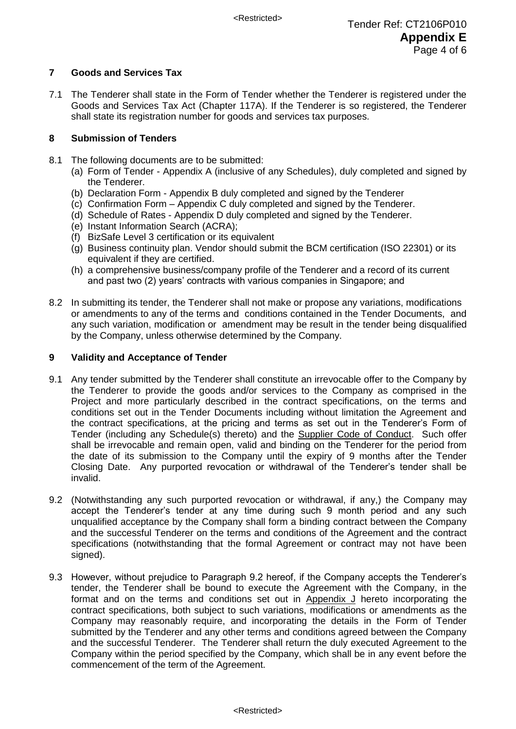# **7 Goods and Services Tax**

7.1 The Tenderer shall state in the Form of Tender whether the Tenderer is registered under the Goods and Services Tax Act (Chapter 117A). If the Tenderer is so registered, the Tenderer shall state its registration number for goods and services tax purposes.

# **8 Submission of Tenders**

- 8.1 The following documents are to be submitted:
	- (a) Form of Tender Appendix A (inclusive of any Schedules), duly completed and signed by the Tenderer.
	- (b) Declaration Form Appendix B duly completed and signed by the Tenderer
	- (c) Confirmation Form Appendix C duly completed and signed by the Tenderer.
	- (d) Schedule of Rates Appendix D duly completed and signed by the Tenderer.
	- (e) Instant Information Search (ACRA);
	- (f) BizSafe Level 3 certification or its equivalent
	- (g) Business continuity plan. Vendor should submit the BCM certification (ISO 22301) or its equivalent if they are certified.
	- (h) a comprehensive business/company profile of the Tenderer and a record of its current and past two (2) years' contracts with various companies in Singapore; and
- 8.2 In submitting its tender, the Tenderer shall not make or propose any variations, modifications or amendments to any of the terms and conditions contained in the Tender Documents, and any such variation, modification or amendment may be result in the tender being disqualified by the Company, unless otherwise determined by the Company.

# **9 Validity and Acceptance of Tender**

- 9.1 Any tender submitted by the Tenderer shall constitute an irrevocable offer to the Company by the Tenderer to provide the goods and/or services to the Company as comprised in the Project and more particularly described in the contract specifications, on the terms and conditions set out in the Tender Documents including without limitation the Agreement and the contract specifications, at the pricing and terms as set out in the Tenderer's Form of Tender (including any Schedule(s) thereto) and the Supplier Code of Conduct. Such offer shall be irrevocable and remain open, valid and binding on the Tenderer for the period from the date of its submission to the Company until the expiry of 9 months after the Tender Closing Date. Any purported revocation or withdrawal of the Tenderer's tender shall be invalid.
- 9.2 (Notwithstanding any such purported revocation or withdrawal, if any,) the Company may accept the Tenderer's tender at any time during such 9 month period and any such unqualified acceptance by the Company shall form a binding contract between the Company and the successful Tenderer on the terms and conditions of the Agreement and the contract specifications (notwithstanding that the formal Agreement or contract may not have been signed).
- 9.3 However, without prejudice to Paragraph 9.2 hereof, if the Company accepts the Tenderer's tender, the Tenderer shall be bound to execute the Agreement with the Company, in the format and on the terms and conditions set out in Appendix J hereto incorporating the contract specifications, both subject to such variations, modifications or amendments as the Company may reasonably require, and incorporating the details in the Form of Tender submitted by the Tenderer and any other terms and conditions agreed between the Company and the successful Tenderer. The Tenderer shall return the duly executed Agreement to the Company within the period specified by the Company, which shall be in any event before the commencement of the term of the Agreement.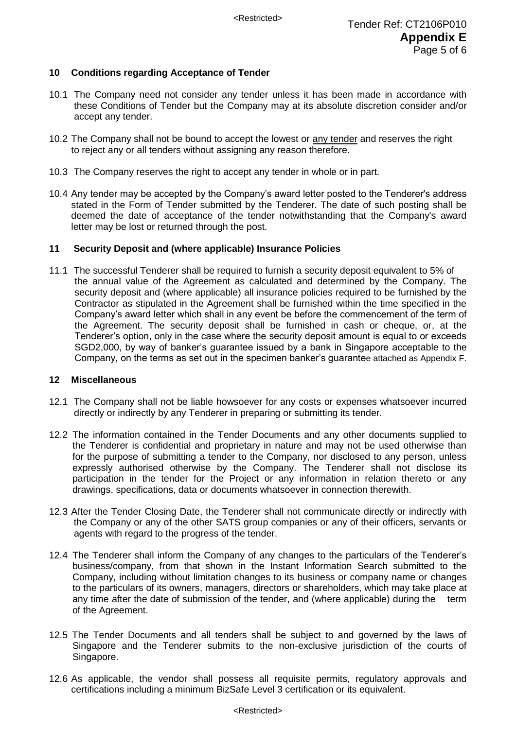# **10 Conditions regarding Acceptance of Tender**

- 10.1 The Company need not consider any tender unless it has been made in accordance with these Conditions of Tender but the Company may at its absolute discretion consider and/or accept any tender.
- 10.2 The Company shall not be bound to accept the lowest or any tender and reserves the right to reject any or all tenders without assigning any reason therefore.
- 10.3 The Company reserves the right to accept any tender in whole or in part.
- 10.4 Any tender may be accepted by the Company's award letter posted to the Tenderer's address stated in the Form of Tender submitted by the Tenderer. The date of such posting shall be deemed the date of acceptance of the tender notwithstanding that the Company's award letter may be lost or returned through the post.

# **11 Security Deposit and (where applicable) Insurance Policies**

11.1 The successful Tenderer shall be required to furnish a security deposit equivalent to 5% of the annual value of the Agreement as calculated and determined by the Company. The security deposit and (where applicable) all insurance policies required to be furnished by the Contractor as stipulated in the Agreement shall be furnished within the time specified in the Company's award letter which shall in any event be before the commencement of the term of the Agreement. The security deposit shall be furnished in cash or cheque, or, at the Tenderer's option, only in the case where the security deposit amount is equal to or exceeds SGD2,000, by way of banker's guarantee issued by a bank in Singapore acceptable to the Company, on the terms as set out in the specimen banker's guarantee attached as Appendix F.

# **12 Miscellaneous**

- 12.1 The Company shall not be liable howsoever for any costs or expenses whatsoever incurred directly or indirectly by any Tenderer in preparing or submitting its tender.
- 12.2 The information contained in the Tender Documents and any other documents supplied to the Tenderer is confidential and proprietary in nature and may not be used otherwise than for the purpose of submitting a tender to the Company, nor disclosed to any person, unless expressly authorised otherwise by the Company. The Tenderer shall not disclose its participation in the tender for the Project or any information in relation thereto or any drawings, specifications, data or documents whatsoever in connection therewith.
- 12.3 After the Tender Closing Date, the Tenderer shall not communicate directly or indirectly with the Company or any of the other SATS group companies or any of their officers, servants or agents with regard to the progress of the tender.
- 12.4 The Tenderer shall inform the Company of any changes to the particulars of the Tenderer's business/company, from that shown in the Instant Information Search submitted to the Company, including without limitation changes to its business or company name or changes to the particulars of its owners, managers, directors or shareholders, which may take place at any time after the date of submission of the tender, and (where applicable) during the term of the Agreement.
- 12.5 The Tender Documents and all tenders shall be subject to and governed by the laws of Singapore and the Tenderer submits to the non-exclusive jurisdiction of the courts of Singapore.
- 12.6 As applicable, the vendor shall possess all requisite permits, regulatory approvals and certifications including a minimum BizSafe Level 3 certification or its equivalent.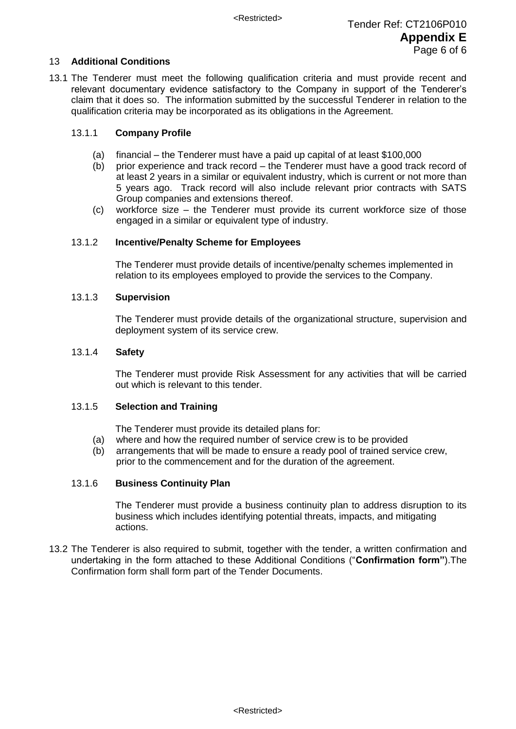# 13 **Additional Conditions**

13.1 The Tenderer must meet the following qualification criteria and must provide recent and relevant documentary evidence satisfactory to the Company in support of the Tenderer's claim that it does so. The information submitted by the successful Tenderer in relation to the qualification criteria may be incorporated as its obligations in the Agreement.

# 13.1.1 **Company Profile**

- (a) financial the Tenderer must have a paid up capital of at least \$100,000
- (b) prior experience and track record the Tenderer must have a good track record of at least 2 years in a similar or equivalent industry, which is current or not more than 5 years ago. Track record will also include relevant prior contracts with SATS Group companies and extensions thereof.
- (c) workforce size the Tenderer must provide its current workforce size of those engaged in a similar or equivalent type of industry.

## 13.1.2 **Incentive/Penalty Scheme for Employees**

The Tenderer must provide details of incentive/penalty schemes implemented in relation to its employees employed to provide the services to the Company.

#### 13.1.3 **Supervision**

The Tenderer must provide details of the organizational structure, supervision and deployment system of its service crew.

## 13.1.4 **Safety**

The Tenderer must provide Risk Assessment for any activities that will be carried out which is relevant to this tender.

#### 13.1.5 **Selection and Training**

The Tenderer must provide its detailed plans for:

- (a) where and how the required number of service crew is to be provided
- (b) arrangements that will be made to ensure a ready pool of trained service crew, prior to the commencement and for the duration of the agreement.

#### 13.1.6 **Business Continuity Plan**

The Tenderer must provide a business continuity plan to address disruption to its business which includes identifying potential threats, impacts, and mitigating actions.

13.2 The Tenderer is also required to submit, together with the tender, a written confirmation and undertaking in the form attached to these Additional Conditions ("**Confirmation form"**).The Confirmation form shall form part of the Tender Documents.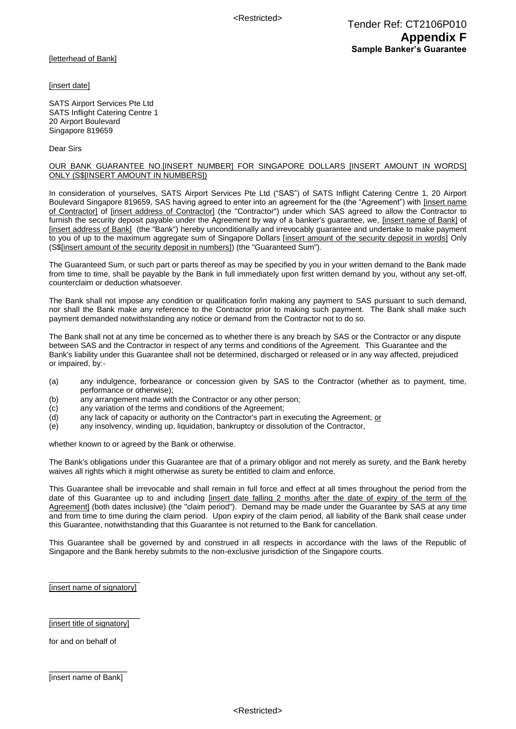<Restricted>

[letterhead of Bank]

[insert date]

SATS Airport Services Pte Ltd SATS Inflight Catering Centre 1 20 Airport Boulevard Singapore 819659

Dear Sirs

#### OUR BANK GUARANTEE NO.[INSERT NUMBER] FOR SINGAPORE DOLLARS [INSERT AMOUNT IN WORDS] ONLY (S\$[INSERT AMOUNT IN NUMBERS])

In consideration of yourselves, SATS Airport Services Pte Ltd ("SAS") of SATS Inflight Catering Centre 1, 20 Airport Boulevard Singapore 819659, SAS having agreed to enter into an agreement for the (the "Agreement") with [insert name of Contractor] of [insert address of Contractor] (the "Contractor") under which SAS agreed to allow the Contractor to furnish the security deposit payable under the Agreement by way of a banker's guarantee, we, [insert name of Bank] of [insert address of Bank] (the "Bank") hereby unconditionally and irrevocably guarantee and undertake to make payment to you of up to the maximum aggregate sum of Singapore Dollars [insert amount of the security deposit in words] Only (S\$[insert amount of the security deposit in numbers]) (the "Guaranteed Sum").

The Guaranteed Sum, or such part or parts thereof as may be specified by you in your written demand to the Bank made from time to time, shall be payable by the Bank in full immediately upon first written demand by you, without any set-off, counterclaim or deduction whatsoever.

The Bank shall not impose any condition or qualification for/in making any payment to SAS pursuant to such demand, nor shall the Bank make any reference to the Contractor prior to making such payment. The Bank shall make such payment demanded notwithstanding any notice or demand from the Contractor not to do so.

The Bank shall not at any time be concerned as to whether there is any breach by SAS or the Contractor or any dispute between SAS and the Contractor in respect of any terms and conditions of the Agreement. This Guarantee and the Bank's liability under this Guarantee shall not be determined, discharged or released or in any way affected, prejudiced or impaired, by:-

- (a) any indulgence, forbearance or concession given by SAS to the Contractor (whether as to payment, time, performance or otherwise);
- (b) any arrangement made with the Contractor or any other person;
- (c) any variation of the terms and conditions of the Agreement;
- (d) any lack of capacity or authority on the Contractor's part in executing the Agreement; or
- (e) any insolvency, winding up, liquidation, bankruptcy or dissolution of the Contractor,

whether known to or agreed by the Bank or otherwise.

The Bank's obligations under this Guarantee are that of a primary obligor and not merely as surety, and the Bank hereby waives all rights which it might otherwise as surety be entitled to claim and enforce.

This Guarantee shall be irrevocable and shall remain in full force and effect at all times throughout the period from the date of this Guarantee up to and including [insert date falling 2 months after the date of expiry of the term of the Agreement] (both dates inclusive) (the "claim period"). Demand may be made under the Guarantee by SAS at any time and from time to time during the claim period. Upon expiry of the claim period, all liability of the Bank shall cease under this Guarantee, notwithstanding that this Guarantee is not returned to the Bank for cancellation.

This Guarantee shall be governed by and construed in all respects in accordance with the laws of the Republic of Singapore and the Bank hereby submits to the non-exclusive jurisdiction of the Singapore courts.

\_\_\_\_\_\_\_\_\_\_\_\_\_\_\_\_\_\_\_\_\_ [insert name of signatory]

\_\_\_\_\_\_\_\_\_\_\_\_\_\_\_\_\_\_\_\_\_ [insert title of signatory]

for and on behalf of

 $\overline{\phantom{a}}$  , where the contract of the contract of the contract of the contract of the contract of the contract of the contract of the contract of the contract of the contract of the contract of the contract of the contr [insert name of Bank]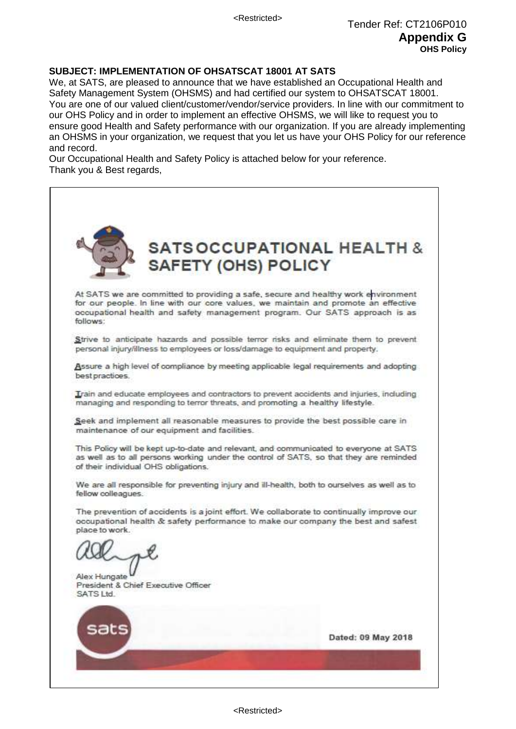# **SUBJECT: IMPLEMENTATION OF OHSATSCAT 18001 AT SATS**

We, at SATS, are pleased to announce that we have established an Occupational Health and Safety Management System (OHSMS) and had certified our system to OHSATSCAT 18001. You are one of our valued client/customer/vendor/service providers. In line with our commitment to our OHS Policy and in order to implement an effective OHSMS, we will like to request you to ensure good Health and Safety performance with our organization. If you are already implementing an OHSMS in your organization, we request that you let us have your OHS Policy for our reference and record.

Our Occupational Health and Safety Policy is attached below for your reference. Thank you & Best regards,

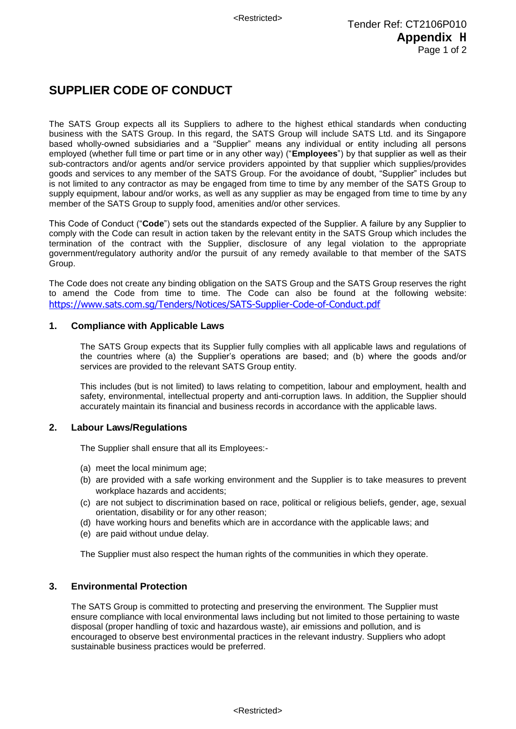# **SUPPLIER CODE OF CONDUCT**

The SATS Group expects all its Suppliers to adhere to the highest ethical standards when conducting business with the SATS Group. In this regard, the SATS Group will include SATS Ltd. and its Singapore based wholly-owned subsidiaries and a "Supplier" means any individual or entity including all persons employed (whether full time or part time or in any other way) ("**Employees**") by that supplier as well as their sub-contractors and/or agents and/or service providers appointed by that supplier which supplies/provides goods and services to any member of the SATS Group. For the avoidance of doubt, "Supplier" includes but is not limited to any contractor as may be engaged from time to time by any member of the SATS Group to supply equipment, labour and/or works, as well as any supplier as may be engaged from time to time by any member of the SATS Group to supply food, amenities and/or other services.

This Code of Conduct ("**Code**") sets out the standards expected of the Supplier. A failure by any Supplier to comply with the Code can result in action taken by the relevant entity in the SATS Group which includes the termination of the contract with the Supplier, disclosure of any legal violation to the appropriate government/regulatory authority and/or the pursuit of any remedy available to that member of the SATS Group.

The Code does not create any binding obligation on the SATS Group and the SATS Group reserves the right to amend the Code from time to time. The Code can also be found at the following website: <https://www.sats.com.sg/Tenders/Notices/SATS-Supplier-Code-of-Conduct.pdf>

## **1. Compliance with Applicable Laws**

The SATS Group expects that its Supplier fully complies with all applicable laws and regulations of the countries where (a) the Supplier's operations are based; and (b) where the goods and/or services are provided to the relevant SATS Group entity.

This includes (but is not limited) to laws relating to competition, labour and employment, health and safety, environmental, intellectual property and anti-corruption laws. In addition, the Supplier should accurately maintain its financial and business records in accordance with the applicable laws.

#### **2. Labour Laws/Regulations**

The Supplier shall ensure that all its Employees:-

- (a) meet the local minimum age;
- (b) are provided with a safe working environment and the Supplier is to take measures to prevent workplace hazards and accidents;
- (c) are not subject to discrimination based on race, political or religious beliefs, gender, age, sexual orientation, disability or for any other reason;
- (d) have working hours and benefits which are in accordance with the applicable laws; and
- (e) are paid without undue delay.

The Supplier must also respect the human rights of the communities in which they operate.

#### **3. Environmental Protection**

The SATS Group is committed to protecting and preserving the environment. The Supplier must ensure compliance with local environmental laws including but not limited to those pertaining to waste disposal (proper handling of toxic and hazardous waste), air emissions and pollution, and is encouraged to observe best environmental practices in the relevant industry. Suppliers who adopt sustainable business practices would be preferred.